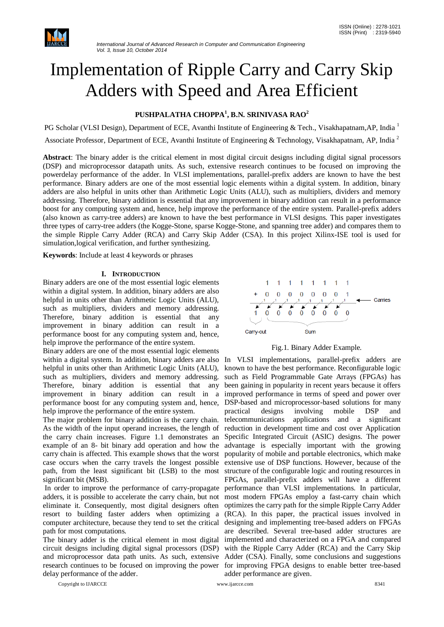

# Implementation of Ripple Carry and Carry Skip Adders with Speed and Area Efficient

# **PUSHPALATHA CHOPPA<sup>1</sup> , B.N. SRINIVASA RAO<sup>2</sup>**

PG Scholar (VLSI Design), Department of ECE, Avanthi Institute of Engineering & Tech., Visakhapatnam,AP, India <sup>1</sup>

Associate Professor, Department of ECE, Avanthi Institute of Engineering & Technology, Visakhapatnam, AP, India<sup>2</sup>

**Abstract**: The binary adder is the critical element in most digital circuit designs including digital signal processors (DSP) and microprocessor datapath units. As such, extensive research continues to be focused on improving the powerdelay performance of the adder. In VLSI implementations, parallel-prefix adders are known to have the best performance. Binary adders are one of the most essential logic elements within a digital system. In addition, binary adders are also helpful in units other than Arithmetic Logic Units (ALU), such as multipliers, dividers and memory addressing. Therefore, binary addition is essential that any improvement in binary addition can result in a performance boost for any computing system and, hence, help improve the performance of the entire system. Parallel-prefix adders (also known as carry-tree adders) are known to have the best performance in VLSI designs. This paper investigates three types of carry-tree adders (the Kogge-Stone, sparse Kogge-Stone, and spanning tree adder) and compares them to the simple Ripple Carry Adder (RCA) and Carry Skip Adder (CSA). In this project Xilinx-ISE tool is used for simulation,logical verification, and further synthesizing.

**Keywords**: Include at least 4 keywords or phrases

### **I. INTRODUCTION**

Binary adders are one of the most essential logic elements within a digital system. In addition, binary adders are also helpful in units other than Arithmetic Logic Units (ALU), such as multipliers, dividers and memory addressing. Therefore, binary addition is essential that any improvement in binary addition can result in a performance boost for any computing system and, hence, help improve the performance of the entire system.

Binary adders are one of the most essential logic elements within a digital system. In addition, binary adders are also In VLSI implementations, parallel-prefix adders are helpful in units other than Arithmetic Logic Units (ALU), known to have the best performance. Reconfigurable logic such as multipliers, dividers and memory addressing. such as Field Programmable Gate Arrays (FPGAs) has Therefore, binary addition is essential that any been gaining in popularity in recent years because it offers improvement in binary addition can result in a improved performance in terms of speed and power over performance boost for any computing system and, hence, DSP-based and microprocessor-based solutions for many help improve the performance of the entire system.

The major problem for binary addition is the carry chain. As the width of the input operand increases, the length of the carry chain increases. Figure 1.1 demonstrates an Specific Integrated Circuit (ASIC) designs. The power example of an 8- bit binary add operation and how the carry chain is affected. This example shows that the worst case occurs when the carry travels the longest possible extensive use of DSP functions. However, because of the path, from the least significant bit (LSB) to the most significant bit (MSB).

In order to improve the performance of carry-propagate adders, it is possible to accelerate the carry chain, but not eliminate it. Consequently, most digital designers often resort to building faster adders when optimizing a computer architecture, because they tend to set the critical path for most computations.

The binary adder is the critical element in most digital circuit designs including digital signal processors (DSP) and microprocessor data path units. As such, extensive research continues to be focused on improving the power delay performance of the adder.

Copyright to IJARCCE www.ijarcce.com 8341



Fig.1. Binary Adder Example.

practical designs involving mobile DSP and telecommunications applications and a significant reduction in development time and cost over Application advantage is especially important with the growing popularity of mobile and portable electronics, which make structure of the configurable logic and routing resources in FPGAs, parallel-prefix adders will have a different performance than VLSI implementations. In particular, most modern FPGAs employ a fast-carry chain which optimizes the carry path for the simple Ripple Carry Adder (RCA). In this paper, the practical issues involved in designing and implementing tree-based adders on FPGAs are described. Several tree-based adder structures are implemented and characterized on a FPGA and compared with the Ripple Carry Adder (RCA) and the Carry Skip Adder (CSA). Finally, some conclusions and suggestions for improving FPGA designs to enable better tree-based adder performance are given.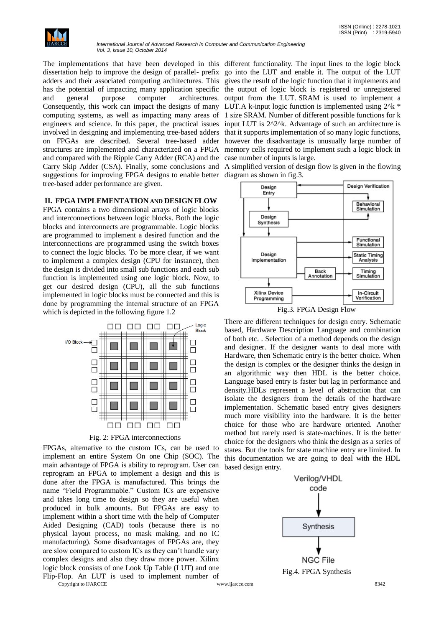

*International Journal of Advanced Research in Computer and Communication Engineering Vol. 3, Issue 10, October 2014*

The implementations that have been developed in this different functionality. The input lines to the logic block dissertation help to improve the design of parallel- prefix go into the LUT and enable it. The output of the LUT adders and their associated computing architectures. This gives the result of the logic function that it implements and has the potential of impacting many application specific the output of logic block is registered or unregistered and general purpose computer architectures. output from the LUT. SRAM is used to implement a Consequently, this work can impact the designs of many LUT.A k-input logic function is implemented using  $2^k *$ computing systems, as well as impacting many areas of 1 size SRAM. Number of different possible functions for k engineers and science. In this paper, the practical issues input LUT is  $2^2$ <sup> $\lambda$ </sup>k. Advantage of such an architecture is involved in designing and implementing tree-based adders that it supports implementation of so many logic functions, on FPGAs are described. Several tree-based adder however the disadvantage is unusually large number of structures are implemented and characterized on a FPGA memory cells required to implement such a logic block in and compared with the Ripple Carry Adder (RCA) and the case number of inputs is large. Carry Skip Adder (CSA). Finally, some conclusions and A simplified version of design flow is given in the flowing suggestions for improving FPGA designs to enable better diagram as shown in fig.3. tree-based adder performance are given.

# **II. FPGA IMPLEMENTATION AND DESIGN FLOW**

FPGA contains a two dimensional arrays of logic blocks and interconnections between logic blocks. Both the logic blocks and interconnects are programmable. Logic blocks are programmed to implement a desired function and the interconnections are programmed using the switch boxes to connect the logic blocks. To be more clear, if we want to implement a complex design (CPU for instance), then the design is divided into small sub functions and each sub function is implemented using one logic block. Now, to get our desired design (CPU), all the sub functions implemented in logic blocks must be connected and this is done by programming the internal structure of an FPGA which is depicted in the following figure 1.2



Fig. 2: FPGA interconnections

FPGAs, alternative to the custom ICs, can be used to implement an entire System On one Chip (SOC). The main advantage of FPGA is ability to reprogram. User can reprogram an FPGA to implement a design and this is done after the FPGA is manufactured. This brings the name "Field Programmable." Custom ICs are expensive and takes long time to design so they are useful when produced in bulk amounts. But FPGAs are easy to implement within a short time with the help of Computer Aided Designing (CAD) tools (because there is no physical layout process, no mask making, and no IC manufacturing). Some disadvantages of FPGAs are, they are slow compared to custom ICs as they can't handle vary complex designs and also they draw more power. Xilinx logic block consists of one Look Up Table (LUT) and one Flip-Flop. An LUT is used to implement number of

Copyright to IJARCCE www.ijarcce.com 8342



Fig.3. FPGA Design Flow

There are different techniques for design entry. Schematic based, Hardware Description Language and combination of both etc. . Selection of a method depends on the design and designer. If the designer wants to deal more with Hardware, then Schematic entry is the better choice. When the design is complex or the designer thinks the design in an algorithmic way then HDL is the better choice. Language based entry is faster but lag in performance and density.HDLs represent a level of abstraction that can isolate the designers from the details of the hardware implementation. Schematic based entry gives designers much more visibility into the hardware. It is the better choice for those who are hardware oriented. Another method but rarely used is state-machines. It is the better choice for the designers who think the design as a series of states. But the tools for state machine entry are limited. In this documentation we are going to deal with the HDL based design entry.



Fig.4. FPGA Synthesis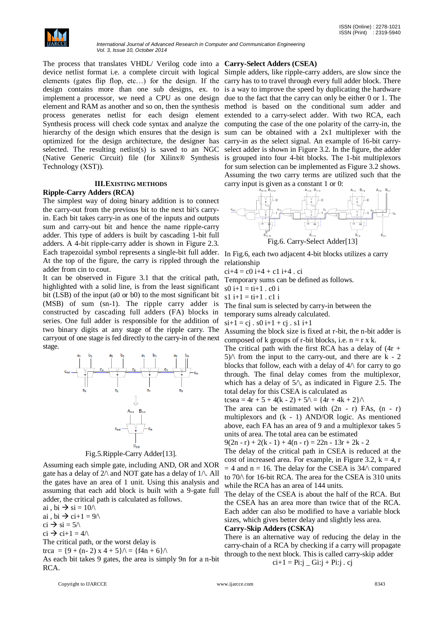

The process that translates VHDL/ Verilog code into a **Carry-Select Adders (CSEA)** device netlist format i.e. a complete circuit with logical Simple adders, like ripple-carry adders, are slow since the elements (gates flip flop, etc…) for the design. If the carry has to to travel through every full adder block. There design contains more than one sub designs, ex. to is a way to improve the speed by duplicating the hardware implement a processor, we need a CPU as one design due to the fact that the carry can only be either 0 or 1. The element and RAM as another and so on, then the synthesis method is based on the conditional sum adder and process generates netlist for each design element extended to a carry-select adder. With two RCA, each Synthesis process will check code syntax and analyze the computing the case of the one polarity of the carry-in, the hierarchy of the design which ensures that the design is sum can be obtained with a 2x1 multiplexer with the optimized for the design architecture, the designer has carry-in as the select signal. An example of 16-bit carryselected. The resulting netlist(s) is saved to an NGC select adder is shown in Figure 3.2. In the figure, the adder (Native Generic Circuit) file (for Xilinx® Synthesis is grouped into four 4-bit blocks. The 1-bit multiplexors Technology (XST)).

# **III.EXISTING METHODS**

## **Ripple-Carry Adders (RCA)**

The simplest way of doing binary addition is to connect the carry-out from the previous bit to the next bit's carryin. Each bit takes carry-in as one of the inputs and outputs sum and carry-out bit and hence the name ripple-carry adder. This type of adders is built by cascading 1-bit full adders. A 4-bit ripple-carry adder is shown in Figure 2.3. Each trapezoidal symbol represents a single-bit full adder. In Fig.6, each two adjacent 4-bit blocks utilizes a carry At the top of the figure, the carry is rippled through the adder from cin to cout.

It can be observed in Figure 3.1 that the critical path, highlighted with a solid line, is from the least significant bit (LSB) of the input (a0 or b0) to the most significant bit (MSB) of sum (sn-1). The ripple carry adder is constructed by cascading full adders (FA) blocks in series. One full adder is responsible for the addition of two binary digits at any stage of the ripple carry. The carryout of one stage is fed directly to the carry-in of the next stage.



# Fig.5.Ripple-Carry Adder[13].

Assuming each simple gate, including AND, OR and XOR gate has a delay of  $2/\lambda$  and NOT gate has a delay of  $1/\lambda$ . All the gates have an area of 1 unit. Using this analysis and assuming that each add block is built with a 9-gate full adder, the critical path is calculated as follows.

ai , bi  $\rightarrow$  si = 10 $\land$ 

ai, bi  $\rightarrow$  ci+1 = 9/\

 $ci \rightarrow si = 5/\sqrt{ }$ 

 $ci \rightarrow ci+1 = 4/\sqrt{ }$ 

The critical path, or the worst delay is

trca =  $\{9 + (n-2) \times 4 + 5\}$ / $\setminus$  =  $\{f4n + 6\}$ / $\setminus$ 

As each bit takes 9 gates, the area is simply 9n for a n-bit RCA.

for sum selection can be implemented as Figure 3.2 shows. Assuming the two carry terms are utilized such that the carry input is given as a constant 1 or 0:



relationship

 $ci+4 = c0 i+4 + c1 i+4$ . ci

Temporary sums can be defined as follows.

 $s0 i+1 = ti+1$ . c0 i

 $s1 i+1 = ti+1$ . c1 i

The final sum is selected by carry-in between the

temporary sums already calculated.

 $si+1 = cj$ .  $s0 i+1 + cj$ .  $s1 i+1$ 

Assuming the block size is fixed at r-bit, the n-bit adder is composed of k groups of r-bit blocks, i.e.  $n = r \times k$ .

The critical path with the first RCA has a delay of  $(4r +$  $5$ / $\land$  from the input to the carry-out, and there are k - 2 blocks that follow, each with a delay of  $4/\sqrt{2}$  for carry to go through. The final delay comes from the multiplexor, which has a delay of  $5/\sqrt{ }$ , as indicated in Figure 2.5. The total delay for this CSEA is calculated as

tcsea =  $4r + 5 + 4(k - 2) + 5\lambda = {4r + 4k + 2}\lambda$ 

The area can be estimated with  $(2n - r)$  FAs,  $(n - r)$ multiplexors and (k - 1) AND/OR logic. As mentioned above, each FA has an area of 9 and a multiplexor takes 5 units of area. The total area can be estimated

 $9(2n - r) + 2(k - 1) + 4(n - r) = 22n - 13r + 2k - 2$ 

The delay of the critical path in CSEA is reduced at the cost of increased area. For example, in Figure 3.2,  $k = 4$ , r  $= 4$  and n = 16. The delay for the CSEA is 34 $\land$  compared to 70/\ for 16-bit RCA. The area for the CSEA is 310 units while the RCA has an area of 144 units.

The delay of the CSEA is about the half of the RCA. But the CSEA has an area more than twice that of the RCA. Each adder can also be modified to have a variable block sizes, which gives better delay and slightly less area.

# **Carry-Skip Adders (CSKA)**

There is an alternative way of reducing the delay in the carry-chain of a RCA by checking if a carry will propagate through to the next block. This is called carry-skip adder

 $ci+1 = Pi:j$  –  $Gi:j$  +  $Pi:j$  . cj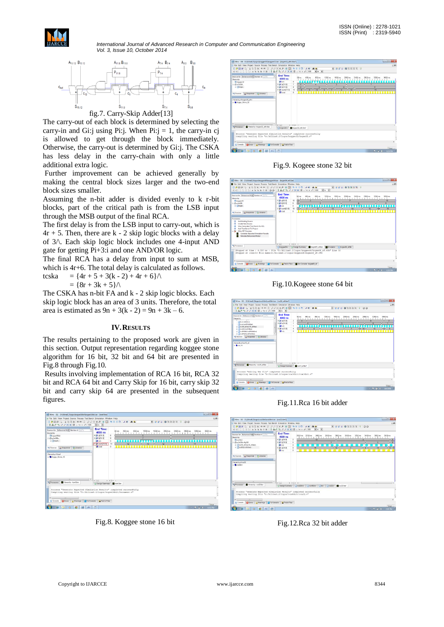

*International Journal of Advanced Research in Computer and Communication Engineering Vol. 3, Issue 10, October 2014*



The carry-out of each block is determined by selecting the carry-in and Gi:j using Pi:j. When Pi:j = 1, the carry-in cj is allowed to get through the block immediately. Otherwise, the carry-out is determined by Gi:j. The CSKA has less delay in the carry-chain with only a little additional extra logic.

Further improvement can be achieved generally by making the central block sizes larger and the two-end block sizes smaller.

Assuming the n-bit adder is divided evenly to k r-bit blocks, part of the critical path is from the LSB input through the MSB output of the final RCA.

The first delay is from the LSB input to carry-out, which is  $4r + 5$ . Then, there are k - 2 skip logic blocks with a delay of 3/\. Each skip logic block includes one 4-input AND gate for getting Pi+3:i and one AND/OR logic.

The final RCA has a delay from input to sum at MSB, which is  $4r+6$ . The total delay is calculated as follows.

tcska =  $\{4r + 5 + 3(k - 2) + 4r + 6\}\wedge$  $= {8r + 3k + 5} \wedge$ 

The CSKA has n-bit FA and k - 2 skip logic blocks. Each skip logic block has an area of 3 units. Therefore, the total area is estimated as  $9n + 3(k - 2) = 9n + 3k - 6$ .

### **IV.RESULTS**

The results pertaining to the proposed work are given in this section. Output representation regarding koggee stone algorithm for 16 bit, 32 bit and 64 bit are presented in Fig.8 through Fig.10.

Results involving implementation of RCA 16 bit, RCA 32 bit and RCA 64 bit and Carry Skip for 16 bit, carry skip 32 bit and carry skip 64 are presented in the subsequent figures.

|                                                                                                                                                                       |                                           | E File Edit View Project Source Process Test Bench Simulation Window Help |                |                               |                   |         |                                  |                |                               | 口通り   |
|-----------------------------------------------------------------------------------------------------------------------------------------------------------------------|-------------------------------------------|---------------------------------------------------------------------------|----------------|-------------------------------|-------------------|---------|----------------------------------|----------------|-------------------------------|-------|
|                                                                                                                                                                       |                                           |                                                                           |                |                               |                   |         |                                  |                |                               |       |
|                                                                                                                                                                       |                                           |                                                                           |                |                               |                   |         | <b>NEEREXXXX VOO</b>             |                |                               |       |
| IACS PRXXII - 9 + 2 1000                                                                                                                                              |                                           | $\bullet$ as $\bullet$                                                    |                |                               |                   |         |                                  |                |                               |       |
| Sources for: Behavioral Sine Number of LUTs                                                                                                                           |                                           | <b>End Time:</b>                                                          |                |                               |                   |         |                                  |                |                               |       |
| Hisraechy                                                                                                                                                             |                                           | 4000 ns                                                                   |                | 50 ns 450 ns<br><b>111111</b> | 850 ns<br>1250 ns | 1650 ns | 2050 ns<br>2450 ns<br>х.<br>- 11 | 2850 ns<br>- 1 | 3250 ns<br>3850 ns<br>1.1.1.1 |       |
| Pilogre 16bit                                                                                                                                                         |                                           | 田 24 215 01                                                               | $\beta$        |                               |                   |         |                                  |                |                               |       |
| $0$ disclosed $0$                                                                                                                                                     |                                           | F DO N15 01                                                               | $\overline{8}$ |                               |                   |         |                                  |                |                               |       |
| $\alpha$ and                                                                                                                                                          |                                           | <b>RB</b> cin                                                             | $\circ$        |                               |                   |         |                                  |                |                               |       |
|                                                                                                                                                                       |                                           | x 20 sum/15.01                                                            | 14             | 17                            | 13                | 12      |                                  | 14             |                               |       |
| <sup>ad</sup> Sources <sub>Pu</sub> Snapshots D Ubranes                                                                                                               |                                           | <b>MI</b> cost                                                            | $\theta$       |                               |                   |         |                                  |                |                               |       |
|                                                                                                                                                                       |                                           |                                                                           |                |                               |                   |         |                                  |                |                               |       |
|                                                                                                                                                                       |                                           |                                                                           |                |                               |                   |         |                                  |                |                               |       |
| Hierarchy of kywf.<br>x BKcope Stone 16                                                                                                                               |                                           |                                                                           |                |                               |                   |         |                                  |                |                               |       |
|                                                                                                                                                                       |                                           |                                                                           |                |                               |                   |         |                                  |                |                               |       |
|                                                                                                                                                                       |                                           |                                                                           |                |                               |                   |         |                                  |                |                               |       |
| m                                                                                                                                                                     | ٠                                         | $\epsilon$ incl.                                                          | $x + m x +$    |                               |                   |         |                                  |                |                               |       |
| <b>RTProcesses EX</b> Hersechy - kowl.tbw                                                                                                                             |                                           | 11 Design Summary <b>De kowl four</b>                                     |                |                               |                   |         |                                  |                |                               |       |
| Process "Generate Expected Simulation Results" completed successfully<br>Compiling verilog file "D:/Xilinx8.2/logos/kogee16bit/Document.v"<br>$\epsilon$<br><b>HE</b> |                                           |                                                                           |                |                               |                   |         |                                  |                |                               |       |
| <b>Li</b> Console                                                                                                                                                     | Chers Namings Tel Console A Find in Files |                                                                           |                |                               |                   |         |                                  |                |                               | Time: |

Fig.8. Koggee stone 16 bit

| C File Edit View Project Source Process Test Bench Simulation Window Help                                                                                                                                                                   |                                                                                                                                                                  |                                                |                                                     | 口流し                        |
|---------------------------------------------------------------------------------------------------------------------------------------------------------------------------------------------------------------------------------------------|------------------------------------------------------------------------------------------------------------------------------------------------------------------|------------------------------------------------|-----------------------------------------------------|----------------------------|
| <b>A WA SEAR CORPORATION SHOP AND A WARDON</b><br>EE = = = = 4 % % % % d * 1 A ^ 1 P P X X @ . Q + F 1000 F = +                                                                                                                             |                                                                                                                                                                  |                                                | For a state of the fact of the                      |                            |
| Sources for Behavioral Skim Number of LUTs<br>Hierarchy<br>Plkogoeg32<br>$\Box$ xt3s500.<br>a Akoge.<br><b>Pu Snapshots N</b> Libraries<br>Mit Sources<br>Hierarchy of kogee 32 why:<br><b>BKrope Stone 32</b>                              | <b>End Time:</b><br>4000 ns<br><b>3.8</b> cm<br>$\theta$<br>$= 26$ a(31.0)<br>$\tau$<br>= DI 6(31.0)<br>8<br>16<br>$= 20$ sum(31:01<br><b>M</b> cout<br>$\alpha$ | 50 ns 450 ns<br>850 ns<br>$\overline{0}$<br>16 | 1250 ns 1650 ns<br>2050 ns 2450 ns<br>2850 ns<br>13 | 3250 ns 3650 ns<br>15<br>. |
| ¥.<br>$+111$<br>$\rightarrow$<br>Hierarchy - kogee32 wim fow<br><b>ReProcessor</b>                                                                                                                                                          | $4$ limit<br>$x = 0$<br>$\sqrt{10000022v}$                                                                                                                       | Relegee32_winitiw*                             |                                                     |                            |
| Process "Generate Expected Simulation Results" completed successfully<br>Compiling verilog file "D:/Xilinx8.2/logos/koggee32/kogee32.v"<br>$\epsilon$<br>$-11$<br><b>Othors</b> A Wanings <b>OTHConsole</b> A Find in Files<br>(II) Console |                                                                                                                                                                  |                                                |                                                     |                            |
|                                                                                                                                                                                                                                             |                                                                                                                                                                  |                                                |                                                     |                            |

Fig.9. Kogeee stone 32 bit

| isil Xilinx - ISE - D:\Xilinx8.2\logos\koggee64\koggee64.ise - [kogee64_wf.tbw] |                                                                                                                                                                                                                                                                                                                   | $\qquad \qquad \blacksquare$  |
|---------------------------------------------------------------------------------|-------------------------------------------------------------------------------------------------------------------------------------------------------------------------------------------------------------------------------------------------------------------------------------------------------------------|-------------------------------|
|                                                                                 |                                                                                                                                                                                                                                                                                                                   |                               |
| File Edit View Project Source Process Test Bench Simulation Window Help         |                                                                                                                                                                                                                                                                                                                   | COM 0                         |
|                                                                                 | $\begin{array}{c} \textbf{A} \otimes \textbf{A} \otimes \textbf{A} \otimes \textbf{B} \otimes \textbf{A} \otimes \textbf{A} \otimes \textbf{A} \otimes \textbf{A} \otimes \textbf{A} \otimes \textbf{A} \otimes \textbf{A} \otimes \textbf{A} \otimes \textbf{A} \otimes \textbf{A} \end{array}$<br>■ 唯同日 機能試験室 9 |                               |
|                                                                                 | $E E = 2224.4338.888$<br>$=$ $-$                                                                                                                                                                                                                                                                                  |                               |
|                                                                                 | <b>End Time:</b>                                                                                                                                                                                                                                                                                                  |                               |
| Sources for Behavioral Saw Number of LUTs                                       | 50 ns<br>450 ns<br>850 rm<br>1250 rs<br>1650 ns<br>2450 ms<br>2050 ns<br>4000 ns                                                                                                                                                                                                                                  | 3650 ns<br>2850 ns<br>3250 ns |
| Hierarchy                                                                       | 10                                                                                                                                                                                                                                                                                                                |                               |
| Plkoppeed4                                                                      | 8 DC 463.01<br>m                                                                                                                                                                                                                                                                                                  | 10<br>$\overline{\mathbf{a}}$ |
| 0.01436500<br>iii [A]koge                                                       | = 00 663.01<br>$\Omega$                                                                                                                                                                                                                                                                                           |                               |
|                                                                                 | $\circ$<br><b>3.8</b> cin<br>.                                                                                                                                                                                                                                                                                    | m<br>. .                      |
|                                                                                 | 19<br>8 at sum(63.0)<br>15 X<br>10<br>16                                                                                                                                                                                                                                                                          | XTD.<br>19<br>16              |
| <b>Hd Sources</b><br>eg Snapshots   PLExistes                                   | <b>M</b> cout<br>$\alpha$                                                                                                                                                                                                                                                                                         |                               |
|                                                                                 |                                                                                                                                                                                                                                                                                                                   |                               |
| Processes                                                                       |                                                                                                                                                                                                                                                                                                                   |                               |
| <b>Add Existing Source</b><br>o                                                 |                                                                                                                                                                                                                                                                                                                   |                               |
| Create New Source<br>۰                                                          |                                                                                                                                                                                                                                                                                                                   |                               |
| View Generated Test Bench As HDL<br>o                                           |                                                                                                                                                                                                                                                                                                                   |                               |
| Add Test Bench To Project<br>-                                                  |                                                                                                                                                                                                                                                                                                                   |                               |
| 6.58<br><b>Xiley ISE Simulator</b>                                              |                                                                                                                                                                                                                                                                                                                   |                               |
| Generate Expected Simulation Results                                            |                                                                                                                                                                                                                                                                                                                   |                               |
| Simulate Behavioral Model                                                       |                                                                                                                                                                                                                                                                                                                   |                               |
|                                                                                 |                                                                                                                                                                                                                                                                                                                   |                               |
|                                                                                 |                                                                                                                                                                                                                                                                                                                   |                               |
| <b><i><b>ILE</b></i></b> Processes                                              | $8 + 128 + 4$<br>$\epsilon$ limit                                                                                                                                                                                                                                                                                 |                               |
|                                                                                 | Ricogress T Design Summary M kogeest with M Simulation Ricogress with                                                                                                                                                                                                                                             |                               |
|                                                                                 | Stopped at time : 4.000 us : File "D:/Xilinx8.2/logos/koggee64/kogee64 wf.tfw" Line 50                                                                                                                                                                                                                            |                               |
|                                                                                 | Stopped at line=50 file name=D:/Xilinx8.2/logos/koggee64/kogee64 wf.tfw                                                                                                                                                                                                                                           |                               |
|                                                                                 |                                                                                                                                                                                                                                                                                                                   |                               |
|                                                                                 |                                                                                                                                                                                                                                                                                                                   |                               |
| $\epsilon$<br>$\sim$                                                            |                                                                                                                                                                                                                                                                                                                   |                               |
| <b>III</b> Console                                                              | <b>Offices</b> A Warnings <b>Contact Console A Find in Files</b> Sin Console - kogee64_wf                                                                                                                                                                                                                         |                               |
|                                                                                 |                                                                                                                                                                                                                                                                                                                   | Time ---                      |
|                                                                                 |                                                                                                                                                                                                                                                                                                                   |                               |
|                                                                                 |                                                                                                                                                                                                                                                                                                                   | <b>A 取締 新</b><br>6:30 PM      |

Fig.10.Kogeee stone 64 bit

| It File Edit View Project Source Process Test Bench Simulation Window Help                                                                                                                                                                                                                                                                                           |                                                                                                                                                               |                                                                                                            |                                                                                                               | CHO                                        |
|----------------------------------------------------------------------------------------------------------------------------------------------------------------------------------------------------------------------------------------------------------------------------------------------------------------------------------------------------------------------|---------------------------------------------------------------------------------------------------------------------------------------------------------------|------------------------------------------------------------------------------------------------------------|---------------------------------------------------------------------------------------------------------------|--------------------------------------------|
| するとう きき又又 間に向い 正 1000                                                                                                                                                                                                                                                                                                                                                | $\mathbb{R}$ on $\mathbb{R}$                                                                                                                                  |                                                                                                            |                                                                                                               |                                            |
| Sources for: Behavioral Si(= Number of LUTs)<br><b>Haractur</b><br>of the contract of the contract of<br>Mits (realizeity)<br><b>Alrea (rea 64 bit faw)</b><br>is arca16 wf(rca16 wf(bw)<br>iii Firea32 (rea32 fbw)<br>iii Arca64bitt(rca64bittibw)<br>iii Arcabhafócabhafása)<br>Rd Scuces and Snapshels   PL Libraries<br>Hersety of rcs16 wf<br>$\times$ Q ca. 16 | <b>End Time:</b><br>4000 ns<br>8 BX a(15.0)<br>$\overline{2}$<br>B 60 6/15 01<br><b>All</b> cin<br>٠<br><b>× 30 st15.01</b><br>4<br><b>38 cry</b><br>$\alpha$ | 450 ns<br>850 ns<br>FO <sub>m</sub><br><b>ALC UNIT</b><br><b>A. A. A.</b><br>$\overline{\Omega}$<br>.<br>. | 1250 ns<br>1650 ns<br>2450 ns<br>2050 ns<br>$1 - 1$<br><b>THEFT</b><br>$\mathbf{1}$<br>п.<br>$1 - 1$<br>X9X10 | 3250 ns<br>3650 ns<br>2850 nn<br>15<br>18X |
| $\epsilon$<br><b>HILL</b><br>×<br><b>4rProcesses B Herarchy rcal6 withy</b>                                                                                                                                                                                                                                                                                          | $\leftarrow$ limit<br>$A + B + A$<br>T Design Summary 20 Ica16_wf.bw*                                                                                         |                                                                                                            |                                                                                                               |                                            |
| Process "Editing Tbw file" completed successfully<br>Compiling verilog file "D:/Xilinx8.2/logos/rcal6bit/rcal6bit.v"<br>$\epsilon$<br><b>LES</b><br>Console <b>Chevre A Warnings</b> CalTelConsele <b>G Find in Files</b>                                                                                                                                            |                                                                                                                                                               |                                                                                                            |                                                                                                               |                                            |
|                                                                                                                                                                                                                                                                                                                                                                      |                                                                                                                                                               |                                                                                                            |                                                                                                               | Time<br><b>R-40 PM</b>                     |

Fig.11.Rca 16 bit adder

| And Xiiroc - ISE - D.\XiirocB.2\Jogos\yca16bit\yca16bit.ise - [rca32.tbw"]                                                                                                                                                  |                                                                                                                  |                                                                      |                                                               |                                  |                                              |              |               | $\sim$                  |
|-----------------------------------------------------------------------------------------------------------------------------------------------------------------------------------------------------------------------------|------------------------------------------------------------------------------------------------------------------|----------------------------------------------------------------------|---------------------------------------------------------------|----------------------------------|----------------------------------------------|--------------|---------------|-------------------------|
| Rile Edit View Project Source Process Test Bench Simulation Window Help                                                                                                                                                     |                                                                                                                  |                                                                      |                                                               |                                  |                                              |              |               | (200                    |
| <b>ARGIE SERVICE AXXXAIS SIDE AV ARGIE</b><br>프로 [고고고] 4 % % % & 소평   1 층 ^ ^   # # X X X B + V + #   1000 - Hm - H                                                                                                         |                                                                                                                  |                                                                      |                                                               |                                  | $\blacksquare$ <b>N's's Button</b> $\vee$ 00 |              |               |                         |
| Sources for Behavioral Sew Number of LUTs<br>Hierarchy.<br>Phrat6bit<br>□ Chec3s500e-46320<br>a arca16 wr(ca16 writing)<br>$=$ $\sqrt{4\pi a32}$ (rea32 tbw)<br>ny Snapshots     Libraries<br><b>Pd</b> Sources             | <b>End Time:</b><br>4000 ns<br>$= 38.4631.01$<br>■ 配 1631.01<br><b>3.8</b> cin<br>■ 器 线31.01<br>M <sub>cry</sub> | $\overline{2}$<br>n<br>$\circ$<br>$\overline{\mathbf{a}}$<br>$\circ$ | 2450 ns<br>2050 ns 2250 ns<br><b>I EXPLANATION</b><br>16      | 2650 ns<br>2850 ns<br>$X$ 15 $X$ | 3550 ns<br>3250 rs                           | 3450 ns<br>8 | 3650 ns<br>10 | 3850 ns<br>$X = X$      |
| Hierarchy of rca32:<br>$\approx 2$ res32bit                                                                                                                                                                                 |                                                                                                                  |                                                                      |                                                               |                                  |                                              |              |               |                         |
| c.<br><b>SOFT</b><br><b>ScProcesses E Herarchy-roa32 fow</b>                                                                                                                                                                | $\left\Vert \cdot\right\Vert _{x\parallel m}$                                                                    | $+ 411 + 4$                                                          | EDesign Summary Creatibity Creatibity Clav Creativ Encall for |                                  |                                              |              |               |                         |
| Process "Generate Expected Simulation Results" completed successfully<br>Compiling verilog file "D:/Xilinx8.2/logos/rcal6bit/rca32.v"<br>a comment of the comment<br>Console Offices A Warnings Tel Console A Find in Files |                                                                                                                  |                                                                      |                                                               |                                  |                                              |              |               |                         |
| <b>FD MB</b><br>$\circ$<br>59<br>G.                                                                                                                                                                                         |                                                                                                                  |                                                                      |                                                               |                                  |                                              |              | $-26.00011$   | Timer<br><b>2-28.PM</b> |

Fig.12.Rca 32 bit adder